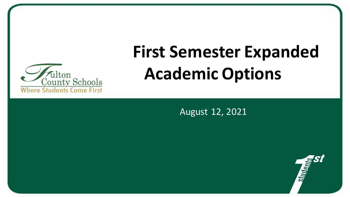

# **First Semester Expanded Academic Options**

August 12, 2021

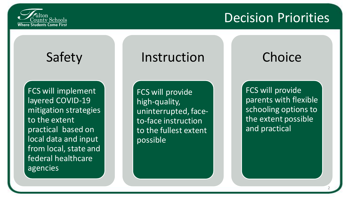

# Decision Priorities

## Safety

FCS will implement layered COVID-19 mitigation strategies to the extent practical based on local data and input from local, state and federal healthcare agencies

### Instruction

FCS will provide high-quality, uninterrupted, faceto-face instruction to the fullest extent possible

# **Choice**

FCS will provide parents with flexible schooling options to the extent possible and practical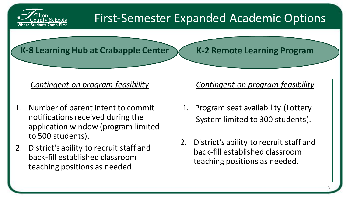

### First-Semester Expanded Academic Options

#### **K-8 Learning Hub at Crabapple Center**

**K-2 Remote Learning Program** 

#### *Contingent on program feasibility*

- Number of parent intent to commit notifications received during the application window (program limited to 500 students).
- 2. District's ability to recruit staff and back-fill established classroom teaching positions as needed.

#### *Contingent on program feasibility*

- 1. Program seat availability (Lottery System limited to 300 students).
- 2. District's ability to recruit staff and back-fill established classroom teaching positions as needed.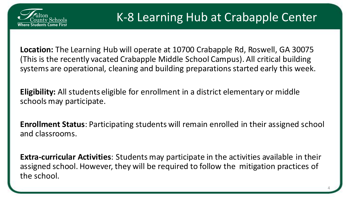

**Location:** The Learning Hub will operate at 10700 Crabapple Rd, Roswell, GA 30075 (This is the recently vacated Crabapple Middle School Campus). All critical building systems are operational, cleaning and building preparations started early this week.

**Eligibility:** All students eligible for enrollment in a district elementary or middle schools may participate.

**Enrollment Status**: Participating students will remain enrolled in their assigned school and classrooms.

**Extra-curricular Activities**: Students may participate in the activities available in their assigned school. However, they will be required to follow the mitigation practices of the school.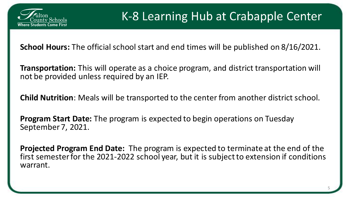

**School Hours:** The official school start and end times will be published on 8/16/2021.

**Transportation:** This will operate as a choice program, and district transportation will not be provided unless required by an IEP.

**Child Nutrition**: Meals will be transported to the center from another district school.

**Program Start Date:** The program is expected to begin operations on Tuesday September 7, 2021.

**Projected Program End Date:** The program is expected to terminate at the end of the first semester for the 2021-2022 school year, but it is subject to extension if conditions warrant.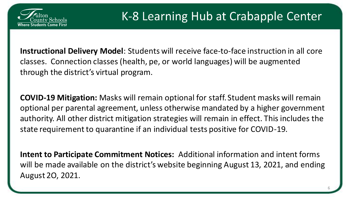

**Instructional Delivery Model**: Students will receive face-to-face instruction in all core classes. Connection classes (health, pe, or world languages) will be augmented through the district's virtual program.

**COVID-19 Mitigation:** Masks will remain optional for staff. Student masks will remain optional per parental agreement, unless otherwise mandated by a higher government authority. All other district mitigation strategies will remain in effect. This includes the state requirement to quarantine if an individual tests positive for COVID-19.

**Intent to Participate Commitment Notices:** Additional information and intent forms will be made available on the district's website beginning August 13, 2021, and ending August 2O, 2021.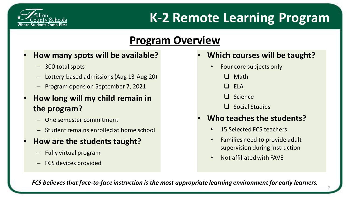

### **Program Overview**

- **How many spots will be available?** 
	- 300 total spots
	- Lottery-based admissions (Aug 13-Aug 20)
	- Program opens on September 7, 2021
- **How long will my child remain in the program?** 
	- One semester commitment
	- Student remains enrolled at home school
- **How are the students taught?**
	- Fully virtual program
	- FCS devices provided
- **Which courses will be taught?**
	- Four core subjects only
		- ❑ Math
		- $\Box$  FIA
		- ❑ Science
		- ❑ Social Studies

#### • **Who teaches the students?**

- 15 Selected FCS teachers
- Families need to provide adult supervision during instruction

7

• Not affiliated with FAVE

*FCS believes that face-to-face instruction is the most appropriate learning environment for early learners.*